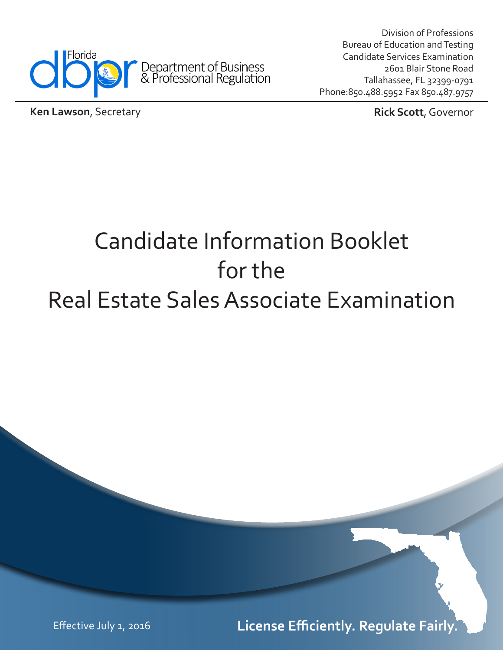

Division of Professions Bureau of Education and Testing Candidate Services Examination 2601 Blair Stone Road Tallahassee, FL 32399-0791 Phone:850.488.5952 Fax 850.487.9757

**Ken Lawson, Secretary** *Rick Scott, Governor* 

# Candidate Information Booklet for the Real Estate Sales Associate Examination

Effective July 1, 2016 **License Efficiently. Regulate Fairly.**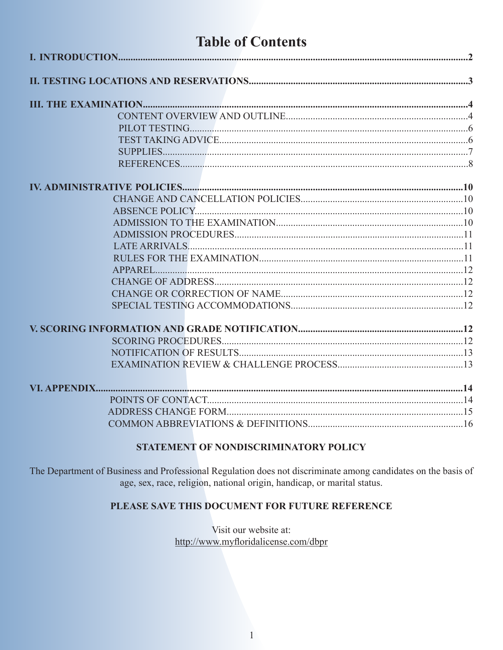# **Table of Contents**

#### STATEMENT OF NONDISCRIMINATORY POLICY

The Department of Business and Professional Regulation does not discriminate among candidates on the basis of age, sex, race, religion, national origin, handicap, or marital status.

#### PLEASE SAVE THIS DOCUMENT FOR FUTURE REFERENCE

Visit our website at: http://www.myfloridalicense.com/dbpr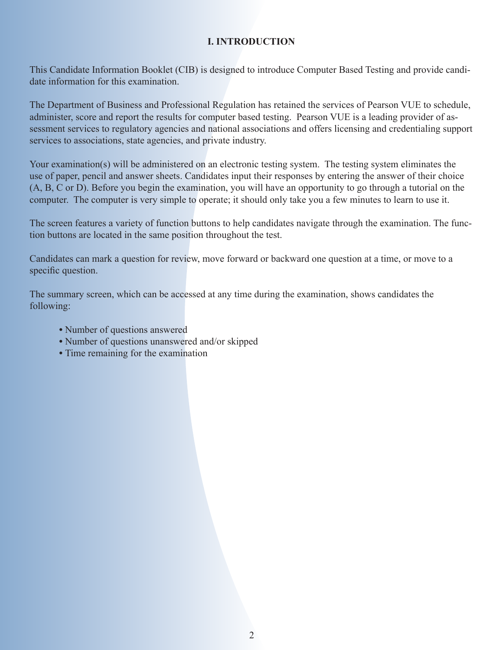#### **I. INTRODUCTION**

This Candidate Information Booklet (CIB) is designed to introduce Computer Based Testing and provide candidate information for this examination.

The Department of Business and Professional Regulation has retained the services of Pearson VUE to schedule, administer, score and report the results for computer based testing. Pearson VUE is a leading provider of assessment services to regulatory agencies and national associations and offers licensing and credentialing support services to associations, state agencies, and private industry.

Your examination(s) will be administered on an electronic testing system. The testing system eliminates the use of paper, pencil and answer sheets. Candidates input their responses by entering the answer of their choice (A, B, C or D). Before you begin the examination, you will have an opportunity to go through a tutorial on the computer. The computer is very simple to operate; it should only take you a few minutes to learn to use it.

The screen features a variety of function buttons to help candidates navigate through the examination. The function buttons are located in the same position throughout the test.

Candidates can mark a question for review, move forward or backward one question at a time, or move to a specific question.

The summary screen, which can be accessed at any time during the examination, shows candidates the following:

- **•** Number of questions answered
- **•** Number of questions unanswered and/or skipped
- **•** Time remaining for the examination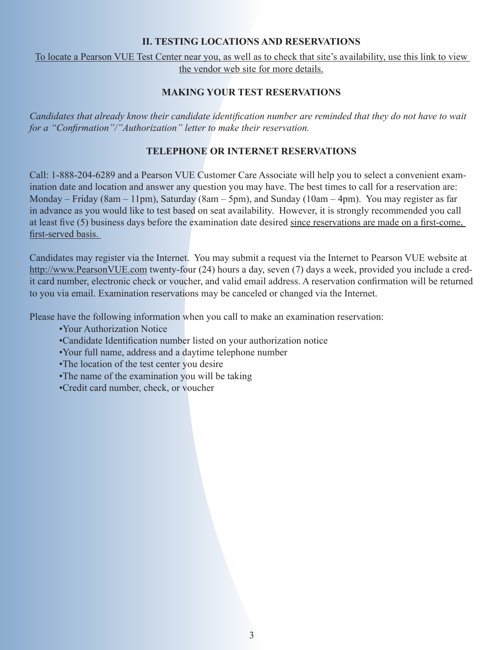#### **II. TESTING LOCATIONS AND RESERVATIONS**

[To locate a Pearson VUE Test Center near you, as well as to check that site's availability, use this link to view](http://www.pearsonvue.com/fl/dbpr/)  the vendor web site for more details.

#### **MAKING YOUR TEST RESERVATIONS**

*Candidates that already know their candidate identification number are reminded that they do not have to wait for a "Confirmation"/"Authorization" letter to make their reservation.*

#### **TELEPHONE OR INTERNET RESERVATIONS**

Call: 1-888-204-6289 and a Pearson VUE Customer Care Associate will help you to select a convenient examination date and location and answer any question you may have. The best times to call for a reservation are: Monday – Friday (8am – 11pm), Saturday (8am – 5pm), and Sunday (10am – 4pm). You may register as far in advance as you would like to test based on seat availability. However, it is strongly recommended you call at least five (5) business days before the examination date desired since reservations are made on a first-come, first-served basis.

Candidates may register via the Internet. You may submit a request via the Internet to Pearson VUE website at http://www.PearsonVUE.com twenty-four (24) hours a day, seven (7) days a week, provided you include a credit card number, electronic check or voucher, and valid email address. A reservation confirmation will be returned to you via email. Examination reservations may be canceled or changed via the Internet.

Please have the following information when you call to make an examination reservation:

- •Your Authorization Notice
- •Candidate Identification number listed on your authorization notice
- •Your full name, address and a daytime telephone number
- •The location of the test center you desire
- •The name of the examination you will be taking
- •Credit card number, check, or voucher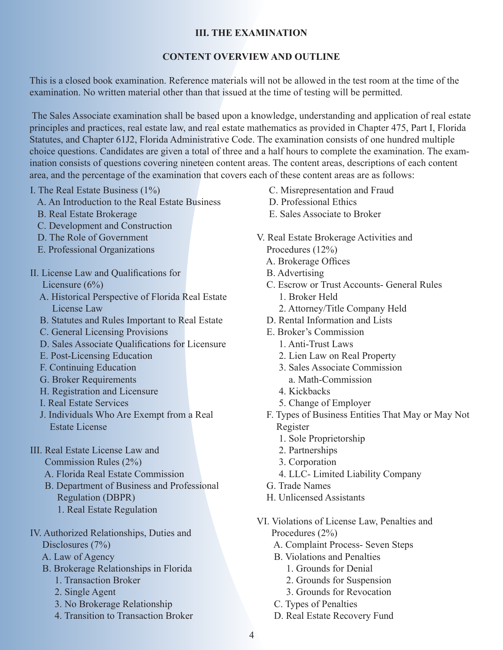#### **III. THE EXAMINATION**

#### **CONTENT OVERVIEW AND OUTLINE**

This is a closed book examination. Reference materials will not be allowed in the test room at the time of the examination. No written material other than that issued at the time of testing will be permitted.

 The Sales Associate examination shall be based upon a knowledge, understanding and application of real estate principles and practices, real estate law, and real estate mathematics as provided in Chapter 475, Part I, Florida Statutes, and Chapter 61J2, Florida Administrative Code. The examination consists of one hundred multiple choice questions. Candidates are given a total of three and a half hours to complete the examination. The examination consists of questions covering nineteen content areas. The content areas, descriptions of each content area, and the percentage of the examination that covers each of these content areas are as follows:

I. The Real Estate Business (1%)

- A. An Introduction to the Real Estate Business
- B. Real Estate Brokerage
- C. Development and Construction
- D. The Role of Government
- E. Professional Organizations
- II. License Law and Qualifications for Licensure (6%)
	- A. Historical Perspective of Florida Real Estate License Law
	- B. Statutes and Rules Important to Real Estate
	- C. General Licensing Provisions
	- D. Sales Associate Qualifications for Licensure
	- E. Post-Licensing Education
	- F. Continuing Education
	- G. Broker Requirements
	- H. Registration and Licensure
	- I. Real Estate Services
	- J. Individuals Who Are Exempt from a Real Estate License
- III. Real Estate License Law and Commission Rules (2%)
	- A. Florida Real Estate Commission
	- B. Department of Business and Professional Regulation (DBPR)
		- 1. Real Estate Regulation
- IV. Authorized Relationships, Duties and Disclosures (7%)
	- A. Law of Agency
	- B. Brokerage Relationships in Florida
		- 1. Transaction Broker
		- 2. Single Agent
		- 3. No Brokerage Relationship
		- 4. Transition to Transaction Broker
- C. Misrepresentation and Fraud
- D. Professional Ethics
- E. Sales Associate to Broker
- V. Real Estate Brokerage Activities and Procedures (12%)
	- A. Brokerage Offices
	- B. Advertising
	- C. Escrow or Trust Accounts- General Rules 1. Broker Held
		- 2. Attorney/Title Company Held
	- D. Rental Information and Lists
	- E. Broker's Commission
		- 1. Anti-Trust Laws
		- 2. Lien Law on Real Property
		- 3. Sales Associate Commission
		- a. Math-Commission
		- 4. Kickbacks
		- 5. Change of Employer
	- F. Types of Business Entities That May or May Not Register
		- 1. Sole Proprietorship
		- 2. Partnerships
		- 3. Corporation
		- 4. LLC- Limited Liability Company
	- G. Trade Names
	- H. Unlicensed Assistants
- VI. Violations of License Law, Penalties and Procedures (2%)
	- A. Complaint Process- Seven Steps
	- B. Violations and Penalties
		- 1. Grounds for Denial
		- 2. Grounds for Suspension
		- 3. Grounds for Revocation
	- C. Types of Penalties
	- D. Real Estate Recovery Fund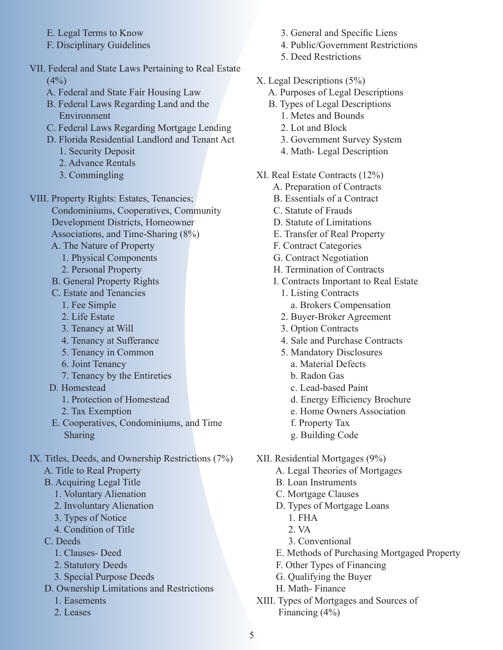- E. Legal Terms to Know
- F. Disciplinary Guidelines
- VII. Federal and State Laws Pertaining to Real Estate  $(4%)$ 
	- A. Federal and State Fair Housing Law
	- B. Federal Laws Regarding Land and the Environment
	- C. Federal Laws Regarding Mortgage Lending
	- D. Florida Residential Landlord and Tenant Act
		- 1. Security Deposit
		- 2. Advance Rentals
		- 3. Commingling
- VIII. Property Rights: Estates, Tenancies; Condominiums, Cooperatives, Community Development Districts, Homeowner Associations, and Time-Sharing (8%)
	- A. The Nature of Property
		- 1. Physical Components
		- 2. Personal Property
	- B. General Property Rights
	- C. Estate and Tenancies
		- 1. Fee Simple
		- 2. Life Estate
		- 3. Tenancy at Will
		- 4. Tenancy at Sufferance
		- 5. Tenancy in Common
		- 6. Joint Tenancy
		- 7. Tenancy by the Entireties
	- D. Homestead
		- 1. Protection of Homestead
		- 2. Tax Exemption
	- E. Cooperatives, Condominiums, and Time Sharing
- IX. Titles, Deeds, and Ownership Restrictions (7%)
	- A. Title to Real Property
	- B. Acquiring Legal Title
		- 1. Voluntary Alienation
		- 2. Involuntary Alienation
		- 3. Types of Notice
		- 4. Condition of Title
	- C. Deeds
		- 1. Clauses- Deed
		- 2. Statutory Deeds
		- 3. Special Purpose Deeds
	- D. Ownership Limitations and Restrictions
		- 1. Easements
		- 2. Leases
- 3. General and Specific Liens
- 4. Public/Government Restrictions
- 5. Deed Restrictions
- X. Legal Descriptions (5%)
	- A. Purposes of Legal Descriptions
	- B. Types of Legal Descriptions
		- 1. Metes and Bounds
		- 2. Lot and Block
		- 3. Government Survey System
		- 4. Math- Legal Description
- XI. Real Estate Contracts (12%)
	- A. Preparation of Contracts
	- B. Essentials of a Contract
	- C. Statute of Frauds
	- D. Statute of Limitations
	- E. Transfer of Real Property
	- F. Contract Categories
	- G. Contract Negotiation
	- H. Termination of Contracts
	- I. Contracts Important to Real Estate
		- 1. Listing Contracts a. Brokers Compensation
		- 2. Buyer-Broker Agreement
		- 3. Option Contracts
		- 4. Sale and Purchase Contracts
		- 5. Mandatory Disclosures
			- a. Material Defects
			- b. Radon Gas
			- c. Lead-based Paint
			- d. Energy Efficiency Brochure
			- e. Home Owners Association
			- f. Property Tax
			- g. Building Code
- XII. Residential Mortgages (9%)
	- A. Legal Theories of Mortgages
	- B. Loan Instruments
	- C. Mortgage Clauses
	- D. Types of Mortgage Loans
		- 1. FHA
		- 2. VA
		- 3. Conventional
	- E. Methods of Purchasing Mortgaged Property
	- F. Other Types of Financing
	- G. Qualifying the Buyer
	- H. Math- Finance
- XIII. Types of Mortgages and Sources of Financing (4%)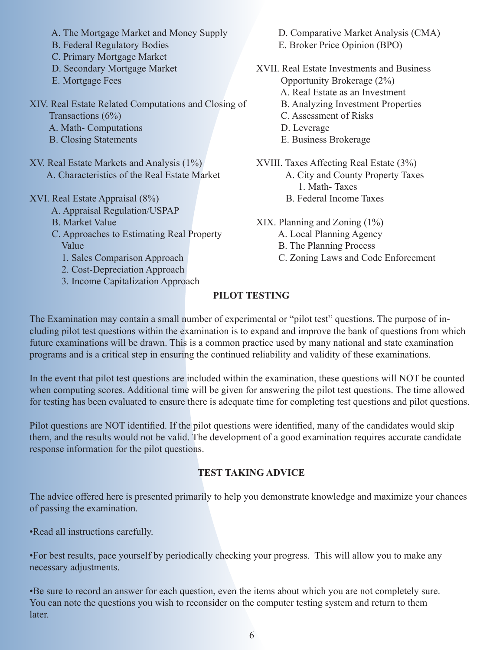- A. The Mortgage Market and Money Supply
- B. Federal Regulatory Bodies
- C. Primary Mortgage Market
- D. Secondary Mortgage Market
- E. Mortgage Fees

XIV. Real Estate Related Computations and Closing of Transactions (6%)

- A. Math- Computations
- B. Closing Statements
- XV. Real Estate Markets and Analysis (1%) A. Characteristics of the Real Estate Market
- XVI. Real Estate Appraisal (8%)
	- A. Appraisal Regulation/USPAP
	- B. Market Value
	- C. Approaches to Estimating Real Property Value
		- 1. Sales Comparison Approach
		- 2. Cost-Depreciation Approach
		- 3. Income Capitalization Approach
- D. Comparative Market Analysis (CMA)
- E. Broker Price Opinion (BPO)
- XVII. Real Estate Investments and Business
	- Opportunity Brokerage (2%)
	- A. Real Estate as an Investment
	- B. Analyzing Investment Properties
	- C. Assessment of Risks
	- D. Leverage
	- E. Business Brokerage
- XVIII. Taxes Affecting Real Estate (3%)
	- A. City and County Property Taxes 1. Math- Taxes
	- B. Federal Income Taxes
- XIX. Planning and Zoning (1%)
	- A. Local Planning Agency
	- B. The Planning Process
	- C. Zoning Laws and Code Enforcement

# **PILOT TESTING**

The Examination may contain a small number of experimental or "pilot test" questions. The purpose of including pilot test questions within the examination is to expand and improve the bank of questions from which future examinations will be drawn. This is a common practice used by many national and state examination programs and is a critical step in ensuring the continued reliability and validity of these examinations.

In the event that pilot test questions are included within the examination, these questions will NOT be counted when computing scores. Additional time will be given for answering the pilot test questions. The time allowed for testing has been evaluated to ensure there is adequate time for completing test questions and pilot questions.

Pilot questions are NOT identified. If the pilot questions were identified, many of the candidates would skip them, and the results would not be valid. The development of a good examination requires accurate candidate response information for the pilot questions.

# **TEST TAKING ADVICE**

The advice offered here is presented primarily to help you demonstrate knowledge and maximize your chances of passing the examination.

•Read all instructions carefully.

•For best results, pace yourself by periodically checking your progress. This will allow you to make any necessary adjustments.

•Be sure to record an answer for each question, even the items about which you are not completely sure. You can note the questions you wish to reconsider on the computer testing system and return to them later.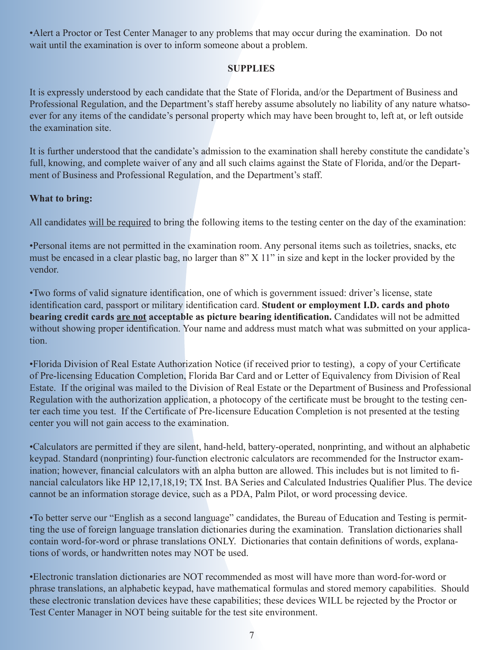•Alert a Proctor or Test Center Manager to any problems that may occur during the examination. Do not wait until the examination is over to inform someone about a problem.

#### **SUPPLIES**

It is expressly understood by each candidate that the State of Florida, and/or the Department of Business and Professional Regulation, and the Department's staff hereby assume absolutely no liability of any nature whatsoever for any items of the candidate's personal property which may have been brought to, left at, or left outside the examination site.

It is further understood that the candidate's admission to the examination shall hereby constitute the candidate's full, knowing, and complete waiver of any and all such claims against the State of Florida, and/or the Department of Business and Professional Regulation, and the Department's staff.

#### **What to bring:**

All candidates will be required to bring the following items to the testing center on the day of the examination:

•Personal items are not permitted in the examination room. Any personal items such as toiletries, snacks, etc must be encased in a clear plastic bag, no larger than 8" X 11" in size and kept in the locker provided by the vendor.

•Two forms of valid signature identification, one of which is government issued: driver's license, state identification card, passport or military identification card. **Student or employment I.D. cards and photo bearing credit cards are not acceptable as picture bearing identification.** Candidates will not be admitted without showing proper identification. Your name and address must match what was submitted on your application.

•Florida Division of Real Estate Authorization Notice (if received prior to testing), a copy of your Certificate of Pre-licensing Education Completion, Florida Bar Card and or Letter of Equivalency from Division of Real Estate. If the original was mailed to the Division of Real Estate or the Department of Business and Professional Regulation with the authorization application, a photocopy of the certificate must be brought to the testing center each time you test. If the Certificate of Pre-licensure Education Completion is not presented at the testing center you will not gain access to the examination.

•Calculators are permitted if they are silent, hand-held, battery-operated, nonprinting, and without an alphabetic keypad. Standard (nonprinting) four-function electronic calculators are recommended for the Instructor examination; however, financial calculators with an alpha button are allowed. This includes but is not limited to financial calculators like HP 12,17,18,19; TX Inst. BA Series and Calculated Industries Qualifier Plus. The device cannot be an information storage device, such as a PDA, Palm Pilot, or word processing device.

•To better serve our "English as a second language" candidates, the Bureau of Education and Testing is permitting the use of foreign language translation dictionaries during the examination. Translation dictionaries shall contain word-for-word or phrase translations ONLY. Dictionaries that contain definitions of words, explanations of words, or handwritten notes may NOT be used.

•Electronic translation dictionaries are NOT recommended as most will have more than word-for-word or phrase translations, an alphabetic keypad, have mathematical formulas and stored memory capabilities. Should these electronic translation devices have these capabilities; these devices WILL be rejected by the Proctor or Test Center Manager in NOT being suitable for the test site environment.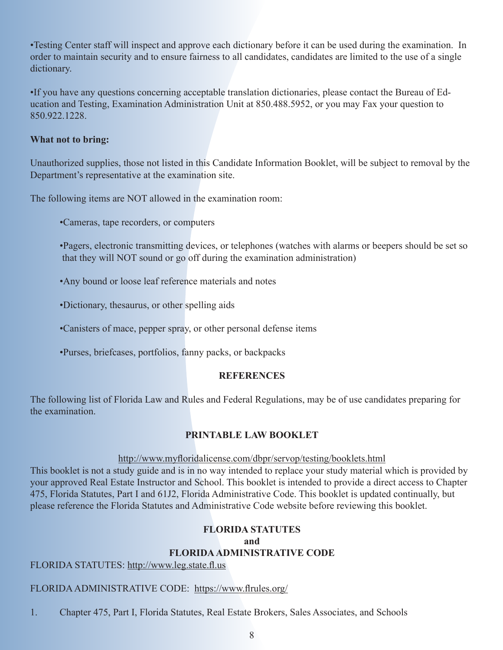•Testing Center staff will inspect and approve each dictionary before it can be used during the examination. In order to maintain security and to ensure fairness to all candidates, candidates are limited to the use of a single dictionary.

•If you have any questions concerning acceptable translation dictionaries, please contact the Bureau of Education and Testing, Examination Administration Unit at 850.488.5952, or you may Fax your question to 850.922.1228.

#### **What not to bring:**

Unauthorized supplies, those not listed in this Candidate Information Booklet, will be subject to removal by the Department's representative at the examination site.

The following items are NOT allowed in the examination room:

- •Cameras, tape recorders, or computers
- •Pagers, electronic transmitting devices, or telephones (watches with alarms or beepers should be set so that they will NOT sound or go off during the examination administration)
- •Any bound or loose leaf reference materials and notes
- •Dictionary, thesaurus, or other spelling aids
- •Canisters of mace, pepper spray, or other personal defense items
- •Purses, briefcases, portfolios, fanny packs, or backpacks

#### **REFERENCES**

The following list of Florida Law and Rules and Federal Regulations, may be of use candidates preparing for the examination.

#### **PRINTABLE LAW BOOKLET**

#### <http://www.myfloridalicense.com/dbpr/servop/testing/booklets.html>

This booklet is not a study guide and is in no way intended to replace your study material which is provided by your approved Real Estate Instructor and School. This booklet is intended to provide a direct access to Chapter 475, Florida Statutes, Part I and 61J2, Florida Administrative Code. This booklet is updated continually, but please reference the Florida Statutes and Administrative Code website before reviewing this booklet.

#### **FLORIDA STATUTES**

#### **and FLORIDA ADMINISTRATIVE CODE**

FLORIDA STATUTES: http://www.leg.state.fl.us

#### FLORIDA ADMINISTRATIVE CODE: https://www.flrules.org/

1. Chapter 475, Part I, Florida Statutes, Real Estate Brokers, Sales Associates, and Schools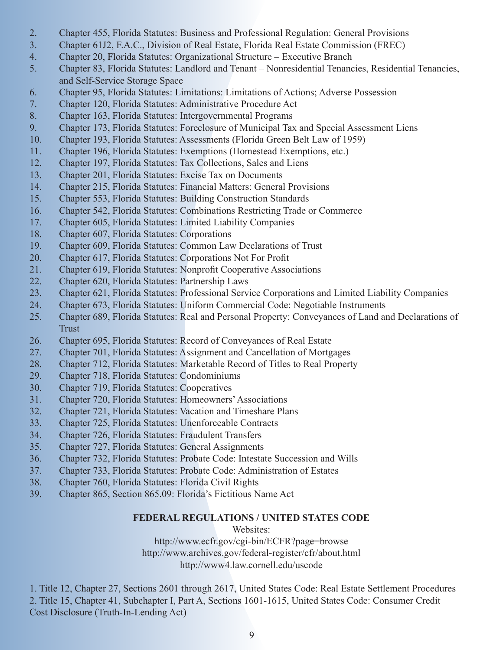- 2. Chapter 455, Florida Statutes: Business and Professional Regulation: General Provisions
- 3. Chapter 61J2, F.A.C., Division of Real Estate, Florida Real Estate Commission (FREC)
- 4. Chapter 20, Florida Statutes: Organizational Structure Executive Branch
- 5. Chapter 83, Florida Statutes: Landlord and Tenant Nonresidential Tenancies, Residential Tenancies, and Self-Service Storage Space
- 6. Chapter 95, Florida Statutes: Limitations: Limitations of Actions; Adverse Possession
- 7. Chapter 120, Florida Statutes: Administrative Procedure Act
- 8. Chapter 163, Florida Statutes: Intergovernmental Programs
- 9. Chapter 173, Florida Statutes: Foreclosure of Municipal Tax and Special Assessment Liens
- 10. Chapter 193, Florida Statutes: Assessments (Florida Green Belt Law of 1959)
- 11. Chapter 196, Florida Statutes: Exemptions (Homestead Exemptions, etc.)
- 12. Chapter 197, Florida Statutes: Tax Collections, Sales and Liens
- 13. Chapter 201, Florida Statutes: Excise Tax on Documents
- 14. Chapter 215, Florida Statutes: Financial Matters: General Provisions
- 15. Chapter 553, Florida Statutes: Building Construction Standards
- 16. Chapter 542, Florida Statutes: Combinations Restricting Trade or Commerce
- 17. Chapter 605, Florida Statutes: Limited Liability Companies
- 18. Chapter 607, Florida Statutes: Corporations
- 19. Chapter 609, Florida Statutes: Common Law Declarations of Trust
- 20. Chapter 617, Florida Statutes: Corporations Not For Profit
- 21. Chapter 619, Florida Statutes: Nonprofit Cooperative Associations
- 22. Chapter 620, Florida Statutes: Partnership Laws
- 23. Chapter 621, Florida Statutes: Professional Service Corporations and Limited Liability Companies
- 24. Chapter 673, Florida Statutes: Uniform Commercial Code: Negotiable Instruments
- 25. Chapter 689, Florida Statutes: Real and Personal Property: Conveyances of Land and Declarations of Trust
- 26. Chapter 695, Florida Statutes: Record of Conveyances of Real Estate
- 27. Chapter 701, Florida Statutes: Assignment and Cancellation of Mortgages
- 28. Chapter 712, Florida Statutes: Marketable Record of Titles to Real Property
- 29. Chapter 718, Florida Statutes: Condominiums
- 30. Chapter 719, Florida Statutes: Cooperatives
- 31. Chapter 720, Florida Statutes: Homeowners' Associations
- 32. Chapter 721, Florida Statutes: Vacation and Timeshare Plans
- 33. Chapter 725, Florida Statutes: Unenforceable Contracts
- 34. Chapter 726, Florida Statutes: Fraudulent Transfers
- 35. Chapter 727, Florida Statutes: General Assignments
- 36. Chapter 732, Florida Statutes: Probate Code: Intestate Succession and Wills
- 37. Chapter 733, Florida Statutes: Probate Code: Administration of Estates
- 38. Chapter 760, Florida Statutes: Florida Civil Rights
- 39. Chapter 865, Section 865.09: Florida's Fictitious Name Act

#### **FEDERAL REGULATIONS / UNITED STATES CODE**

#### Websites:

<http://www.ecfr.gov/cgi-bin/ECFR?page=browse> <http://www.archives.gov/federal-register/cfr/about.html> <http://www4.law.cornell.edu/uscode>

1. Title 12, Chapter 27, Sections 2601 through 2617, United States Code: Real Estate Settlement Procedures 2. Title 15, Chapter 41, Subchapter I, Part A, Sections 1601-1615, United States Code: Consumer Credit Cost Disclosure (Truth-In-Lending Act)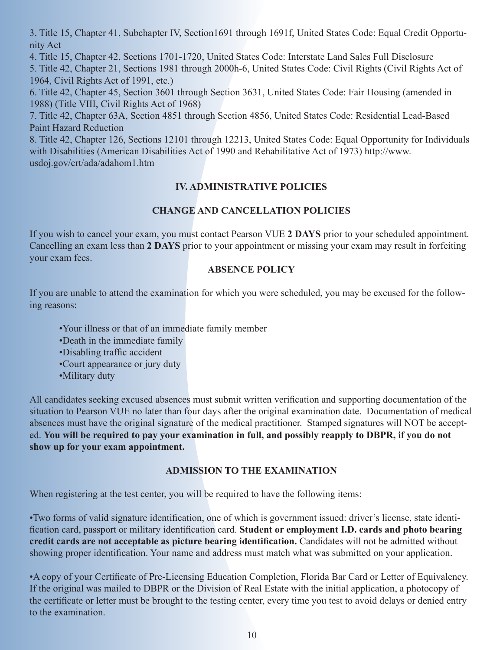3. Title 15, Chapter 41, Subchapter IV, Section1691 through 1691f, United States Code: Equal Credit Opportunity Act

4. Title 15, Chapter 42, Sections 1701-1720, United States Code: Interstate Land Sales Full Disclosure

5. Title 42, Chapter 21, Sections 1981 through 2000h-6, United States Code: Civil Rights (Civil Rights Act of 1964, Civil Rights Act of 1991, etc.)

6. Title 42, Chapter 45, Section 3601 through Section 3631, United States Code: Fair Housing (amended in 1988) (Title VIII, Civil Rights Act of 1968)

7. Title 42, Chapter 63A, Section 4851 through Section 4856, United States Code: Residential Lead-Based Paint Hazard Reduction

8. Title 42, Chapter 126, Sections 12101 through 12213, United States Code: Equal Opportunity for Individuals with Disabilities (American Disabilities Act of 1990 and Rehabilitative Act of 1973) http://www. usdoj.gov/crt/ada/adahom1.htm

# **IV. ADMINISTRATIVE POLICIES**

# **CHANGE AND CANCELLATION POLICIES**

If you wish to cancel your exam, you must contact Pearson VUE **2 DAYS** prior to your scheduled appointment. Cancelling an exam less than **2 DAYS** prior to your appointment or missing your exam may result in forfeiting your exam fees.

# **ABSENCE POLICY**

If you are unable to attend the examination for which you were scheduled, you may be excused for the following reasons:

- •Your illness or that of an immediate family member
- •Death in the immediate family
- •Disabling traffic accident
- •Court appearance or jury duty
- •Military duty

All candidates seeking excused absences must submit written verification and supporting documentation of the situation to Pearson VUE no later than four days after the original examination date. Documentation of medical absences must have the original signature of the medical practitioner. Stamped signatures will NOT be accepted. **You will be required to pay your examination in full, and possibly reapply to DBPR, if you do not show up for your exam appointment.**

#### **ADMISSION TO THE EXAMINATION**

When registering at the test center, you will be required to have the following items:

•Two forms of valid signature identification, one of which is government issued: driver's license, state identification card, passport or military identification card. **Student or employment I.D. cards and photo bearing credit cards are not acceptable as picture bearing identification.** Candidates will not be admitted without showing proper identification. Your name and address must match what was submitted on your application.

•A copy of your Certificate of Pre-Licensing Education Completion, Florida Bar Card or Letter of Equivalency. If the original was mailed to DBPR or the Division of Real Estate with the initial application, a photocopy of the certificate or letter must be brought to the testing center, every time you test to avoid delays or denied entry to the examination.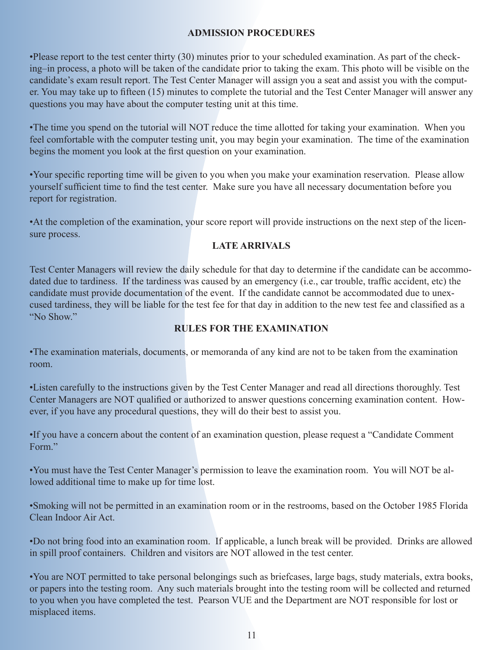#### **ADMISSION PROCEDURES**

•Please report to the test center thirty (30) minutes prior to your scheduled examination. As part of the checking–in process, a photo will be taken of the candidate prior to taking the exam. This photo will be visible on the candidate's exam result report. The Test Center Manager will assign you a seat and assist you with the computer. You may take up to fifteen (15) minutes to complete the tutorial and the Test Center Manager will answer any questions you may have about the computer testing unit at this time.

•The time you spend on the tutorial will NOT reduce the time allotted for taking your examination. When you feel comfortable with the computer testing unit, you may begin your examination. The time of the examination begins the moment you look at the first question on your examination.

•Your specific reporting time will be given to you when you make your examination reservation. Please allow yourself sufficient time to find the test center. Make sure you have all necessary documentation before you report for registration.

•At the completion of the examination, your score report will provide instructions on the next step of the licensure process.

# **LATE ARRIVALS**

Test Center Managers will review the daily schedule for that day to determine if the candidate can be accommodated due to tardiness. If the tardiness was caused by an emergency (i.e., car trouble, traffic accident, etc) the candidate must provide documentation of the event. If the candidate cannot be accommodated due to unexcused tardiness, they will be liable for the test fee for that day in addition to the new test fee and classified as a "No Show."

### **RULES FOR THE EXAMINATION**

•The examination materials, documents, or memoranda of any kind are not to be taken from the examination room.

•Listen carefully to the instructions given by the Test Center Manager and read all directions thoroughly. Test Center Managers are NOT qualified or authorized to answer questions concerning examination content. However, if you have any procedural questions, they will do their best to assist you.

•If you have a concern about the content of an examination question, please request a "Candidate Comment Form<sup>"</sup>

•You must have the Test Center Manager's permission to leave the examination room. You will NOT be allowed additional time to make up for time lost.

•Smoking will not be permitted in an examination room or in the restrooms, based on the October 1985 Florida Clean Indoor Air Act.

•Do not bring food into an examination room. If applicable, a lunch break will be provided. Drinks are allowed in spill proof containers. Children and visitors are NOT allowed in the test center.

•You are NOT permitted to take personal belongings such as briefcases, large bags, study materials, extra books, or papers into the testing room. Any such materials brought into the testing room will be collected and returned to you when you have completed the test. Pearson VUE and the Department are NOT responsible for lost or misplaced items.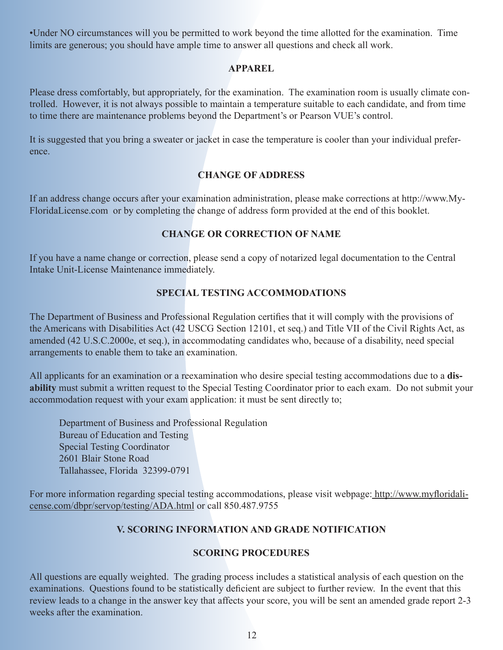•Under NO circumstances will you be permitted to work beyond the time allotted for the examination. Time limits are generous; you should have ample time to answer all questions and check all work.

#### **APPAREL**

Please dress comfortably, but appropriately, for the examination. The examination room is usually climate controlled. However, it is not always possible to maintain a temperature suitable to each candidate, and from time to time there are maintenance problems beyond the Department's or Pearson VUE's control.

It is suggested that you bring a sweater or jacket in case the temperature is cooler than your individual preference.

# **CHANGE OF ADDRESS**

If an address change occurs after your examination administration, please make corrections at http://www.My-FloridaLicense.com or by completing the change of address form provided at the end of this booklet.

# **CHANGE OR CORRECTION OF NAME**

If you have a name change or correction, please send a copy of notarized legal documentation to the Central Intake Unit-License Maintenance immediately.

#### **SPECIAL TESTING ACCOMMODATIONS**

The Department of Business and Professional Regulation certifies that it will comply with the provisions of the Americans with Disabilities Act (42 USCG Section 12101, et seq.) and Title VII of the Civil Rights Act, as amended (42 U.S.C.2000e, et seq.), in accommodating candidates who, because of a disability, need special arrangements to enable them to take an examination.

All applicants for an examination or a reexamination who desire special testing accommodations due to a **disability** must submit a written request to the Special Testing Coordinator prior to each exam. Do not submit your accommodation request with your exam application: it must be sent directly to;

Department of Business and Professional Regulation Bureau of Education and Testing Special Testing Coordinator 2601 Blair Stone Road Tallahassee, Florida 32399-0791

[For more information regarding special testing accommodations, please visit webpage:](http://www.myfloridalicense.com/dbpr/servop/testing/ADA.html) http://www.myfloridalicense.com/dbpr/servop/testing/ADA.html or call 850.487.9755

#### **V. SCORING INFORMATION AND GRADE NOTIFICATION**

#### **SCORING PROCEDURES**

All questions are equally weighted. The grading process includes a statistical analysis of each question on the examinations. Questions found to be statistically deficient are subject to further review. In the event that this review leads to a change in the answer key that affects your score, you will be sent an amended grade report 2-3 weeks after the examination.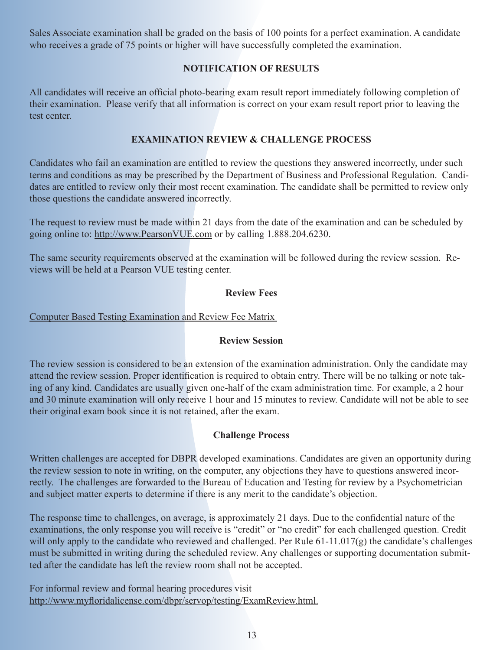Sales Associate examination shall be graded on the basis of 100 points for a perfect examination. A candidate who receives a grade of 75 points or higher will have successfully completed the examination.

### **NOTIFICATION OF RESULTS**

All candidates will receive an official photo-bearing exam result report immediately following completion of their examination. Please verify that all information is correct on your exam result report prior to leaving the test center.

#### **EXAMINATION REVIEW & CHALLENGE PROCESS**

Candidates who fail an examination are entitled to review the questions they answered incorrectly, under such terms and conditions as may be prescribed by the Department of Business and Professional Regulation. Candidates are entitled to review only their most recent examination. The candidate shall be permitted to review only those questions the candidate answered incorrectly.

The request to review must be made within 21 days from the date of the examination and can be scheduled by going online to[: http://www.PearsonVUE.com o](https://home.pearsonvue.com/)r by calling 1.888.204.6230.

The same security requirements observed at the examination will be followed during the review session. Reviews will be held at a Pearson VUE testing center.

#### **Review Fees**

#### [Computer Based Testing Examination and Review Fee Matrix](http://www.myfloridalicense.com/dbpr/servop/testing/documents/cbt_exam_review_fees.pdf)

#### **Review Session**

The review session is considered to be an extension of the examination administration. Only the candidate may attend the review session. Proper identification is required to obtain entry. There will be no talking or note taking of any kind. Candidates are usually given one-half of the exam administration time. For example, a 2 hour and 30 minute examination will only receive 1 hour and 15 minutes to review. Candidate will not be able to see their original exam book since it is not retained, after the exam.

#### **Challenge Process**

Written challenges are accepted for DBPR developed examinations. Candidates are given an opportunity during the review session to note in writing, on the computer, any objections they have to questions answered incorrectly. The challenges are forwarded to the Bureau of Education and Testing for review by a Psychometrician and subject matter experts to determine if there is any merit to the candidate's objection.

The response time to challenges, on average, is approximately 21 days. Due to the confidential nature of the examinations, the only response you will receive is "credit" or "no credit" for each challenged question. Credit will only apply to the candidate who reviewed and challenged. Per Rule 61-11.017(g) the candidate's challenges must be submitted in writing during the scheduled review. Any challenges or supporting documentation submitted after the candidate has left the review room shall not be accepted.

For informal review and formal hearing procedures visit [http://www.myfloridalicense.com/dbpr/servop/testing/ExamReview.html.](http://www.myfloridalicense.com/dbpr/servop/testing/ExamReview.html)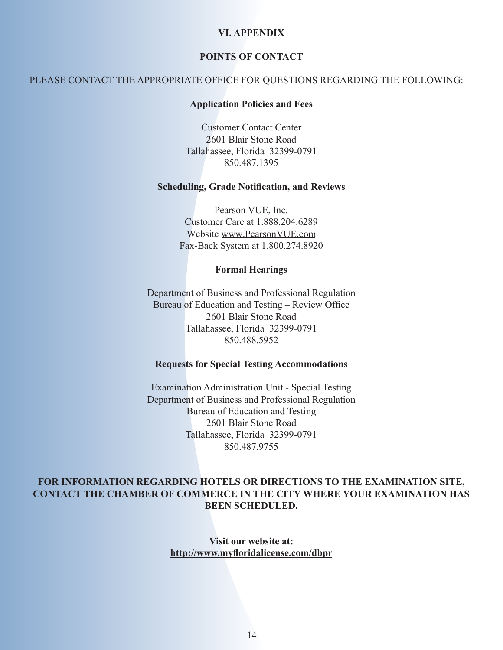#### **VI. APPENDIX**

#### **POINTS OF CONTACT**

#### PLEASE CONTACT THE APPROPRIATE OFFICE FOR QUESTIONS REGARDING THE FOLLOWING:

#### **Application Policies and Fees**

Customer Contact Center 2601 Blair Stone Road Tallahassee, Florida 32399-0791 850.487.1395

#### **Scheduling, Grade Notification, and Reviews**

Pearson VUE, Inc. Customer Care at 1.888.204.6289 Website [www.PearsonVUE.com](https://home.pearsonvue.com/)  Fax-Back System at 1.800.274.8920

#### **Formal Hearings**

Department of Business and Professional Regulation Bureau of Education and Testing – Review Office 2601 Blair Stone Road Tallahassee, Florida 32399-0791 850.488.5952

#### **Requests for Special Testing Accommodations**

Examination Administration Unit - Special Testing Department of Business and Professional Regulation Bureau of Education and Testing 2601 Blair Stone Road Tallahassee, Florida 32399-0791 850.487.9755

#### **FOR INFORMATION REGARDING HOTELS OR DIRECTIONS TO THE EXAMINATION SITE, CONTACT THE CHAMBER OF COMMERCE IN THE CITY WHERE YOUR EXAMINATION HAS BEEN SCHEDULED.**

**Visit our website at: [http://www.myfloridalicense.com/dbpr](http://www.myfloridalicense.com/dbpr/)**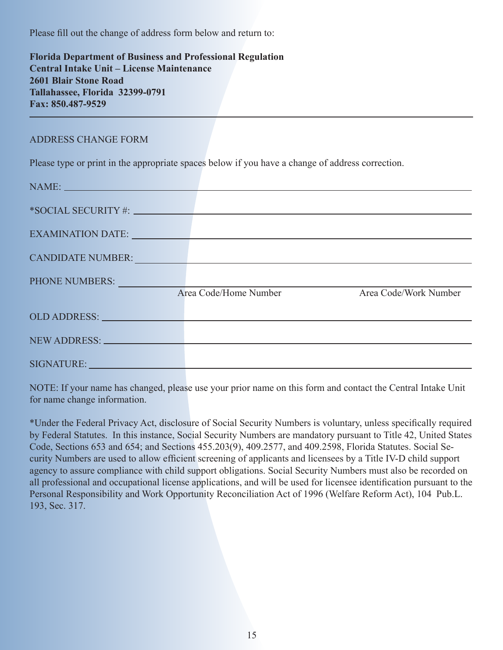Please fill out the change of address form below and return to:

**Florida Department of Business and Professional Regulation Central Intake Unit – License Maintenance 2601 Blair Stone Road Tallahassee, Florida 32399-0791 Fax: 850.487-9529**

#### ADDRESS CHANGE FORM

Please type or print in the appropriate spaces below if you have a change of address correction.

| NAME: NAME               |                                                                                                                                                                                                                                |                       |
|--------------------------|--------------------------------------------------------------------------------------------------------------------------------------------------------------------------------------------------------------------------------|-----------------------|
|                          | *SOCIAL SECURITY#: New York SOCIAL SECURITY #:                                                                                                                                                                                 |                       |
|                          | EXAMINATION DATE: University of the contract of the contract of the contract of the contract of the contract of the contract of the contract of the contract of the contract of the contract of the contract of the contract o |                       |
|                          |                                                                                                                                                                                                                                |                       |
| <b>CANDIDATE NUMBER:</b> |                                                                                                                                                                                                                                |                       |
| PHONE NUMBERS:           |                                                                                                                                                                                                                                |                       |
|                          | Area Code/Home Number                                                                                                                                                                                                          | Area Code/Work Number |
|                          | OLD ADDRESS: NAME OF STREET ASSESSED AND ARRANGEMENT OF STREET AND RESIDENCE OF STREET AND RESIDENCE OF STREET                                                                                                                 |                       |
|                          | NEW ADDRESS: NEW ADDRESS:                                                                                                                                                                                                      |                       |
| SIGNATURE: NATURE:       |                                                                                                                                                                                                                                |                       |

NOTE: If your name has changed, please use your prior name on this form and contact the Central Intake Unit for name change information.

\*Under the Federal Privacy Act, disclosure of Social Security Numbers is voluntary, unless specifically required by Federal Statutes. In this instance, Social Security Numbers are mandatory pursuant to Title 42, United States Code, Sections 653 and 654; and Sections 455.203(9), 409.2577, and 409.2598, Florida Statutes. Social Security Numbers are used to allow efficient screening of applicants and licensees by a Title IV-D child support agency to assure compliance with child support obligations. Social Security Numbers must also be recorded on all professional and occupational license applications, and will be used for licensee identification pursuant to the Personal Responsibility and Work Opportunity Reconciliation Act of 1996 (Welfare Reform Act), 104 Pub.L. 193, Sec. 317.